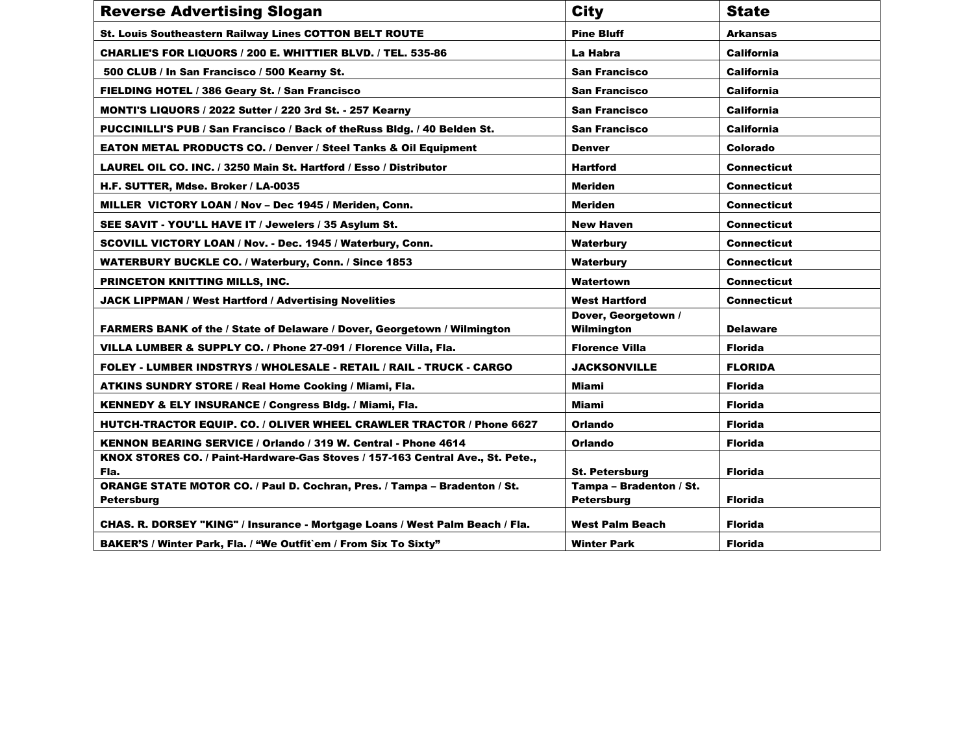| <b>Reverse Advertising Slogan</b>                                                | <b>City</b>                               | <b>State</b>       |  |
|----------------------------------------------------------------------------------|-------------------------------------------|--------------------|--|
| <b>St. Louis Southeastern Railway Lines COTTON BELT ROUTE</b>                    | <b>Pine Bluff</b>                         | <b>Arkansas</b>    |  |
| CHARLIE'S FOR LIQUORS / 200 E. WHITTIER BLVD. / TEL. 535-86                      | La Habra                                  | <b>California</b>  |  |
| 500 CLUB / In San Francisco / 500 Kearny St.                                     | <b>San Francisco</b>                      | <b>California</b>  |  |
| FIELDING HOTEL / 386 Geary St. / San Francisco                                   | <b>California</b><br><b>San Francisco</b> |                    |  |
| MONTI'S LIQUORS / 2022 Sutter / 220 3rd St. - 257 Kearny                         | <b>California</b><br><b>San Francisco</b> |                    |  |
| PUCCINILLI'S PUB / San Francisco / Back of the Russ Bldg. / 40 Belden St.        | <b>San Francisco</b><br><b>California</b> |                    |  |
| <b>EATON METAL PRODUCTS CO. / Denver / Steel Tanks &amp; Oil Equipment</b>       | <b>Denver</b>                             | Colorado           |  |
| LAUREL OIL CO. INC. / 3250 Main St. Hartford / Esso / Distributor                | <b>Hartford</b>                           | <b>Connecticut</b> |  |
| H.F. SUTTER, Mdse. Broker / LA-0035                                              | <b>Meriden</b>                            | <b>Connecticut</b> |  |
| MILLER VICTORY LOAN / Nov - Dec 1945 / Meriden, Conn.                            | <b>Meriden</b>                            | <b>Connecticut</b> |  |
| SEE SAVIT - YOU'LL HAVE IT / Jewelers / 35 Asylum St.                            | <b>New Haven</b>                          | <b>Connecticut</b> |  |
| SCOVILL VICTORY LOAN / Nov. - Dec. 1945 / Waterbury, Conn.                       | Waterbury                                 | <b>Connecticut</b> |  |
| <b>WATERBURY BUCKLE CO. / Waterbury, Conn. / Since 1853</b>                      | Waterbury                                 | <b>Connecticut</b> |  |
| PRINCETON KNITTING MILLS, INC.                                                   | Watertown                                 | <b>Connecticut</b> |  |
| <b>JACK LIPPMAN / West Hartford / Advertising Novelities</b>                     | <b>West Hartford</b>                      | <b>Connecticut</b> |  |
|                                                                                  | Dover, Georgetown /                       |                    |  |
| <b>FARMERS BANK of the / State of Delaware / Dover, Georgetown / Wilmington</b>  | Wilmington                                | <b>Delaware</b>    |  |
| VILLA LUMBER & SUPPLY CO. / Phone 27-091 / Florence Villa, Fla.                  | <b>Florence Villa</b>                     | <b>Florida</b>     |  |
| FOLEY - LUMBER INDSTRYS / WHOLESALE - RETAIL / RAIL - TRUCK - CARGO              | <b>JACKSONVILLE</b>                       | <b>FLORIDA</b>     |  |
| <b>ATKINS SUNDRY STORE / Real Home Cooking / Miami, Fla.</b>                     | Miami                                     | <b>Florida</b>     |  |
| KENNEDY & ELY INSURANCE / Congress Bldg. / Miami, Fla.                           | Miami                                     | <b>Florida</b>     |  |
| HUTCH-TRACTOR EQUIP. CO. / OLIVER WHEEL CRAWLER TRACTOR / Phone 6627             | Orlando                                   | <b>Florida</b>     |  |
| KENNON BEARING SERVICE / Orlando / 319 W. Central - Phone 4614                   | <b>Orlando</b>                            | <b>Florida</b>     |  |
| KNOX STORES CO. / Paint-Hardware-Gas Stoves / 157-163 Central Ave., St. Pete.,   |                                           |                    |  |
| Fla.                                                                             | <b>St. Petersburg</b>                     | <b>Florida</b>     |  |
| <b>ORANGE STATE MOTOR CO. / Paul D. Cochran, Pres. / Tampa - Bradenton / St.</b> | Tampa - Bradenton / St.                   |                    |  |
| Petersburg                                                                       | <b>Petersburg</b>                         | <b>Florida</b>     |  |
| CHAS. R. DORSEY "KING" / Insurance - Mortgage Loans / West Palm Beach / Fla.     | West Palm Beach                           | <b>Florida</b>     |  |
| BAKER'S / Winter Park, Fla. / "We Outfit`em / From Six To Sixty"                 | <b>Winter Park</b>                        | <b>Florida</b>     |  |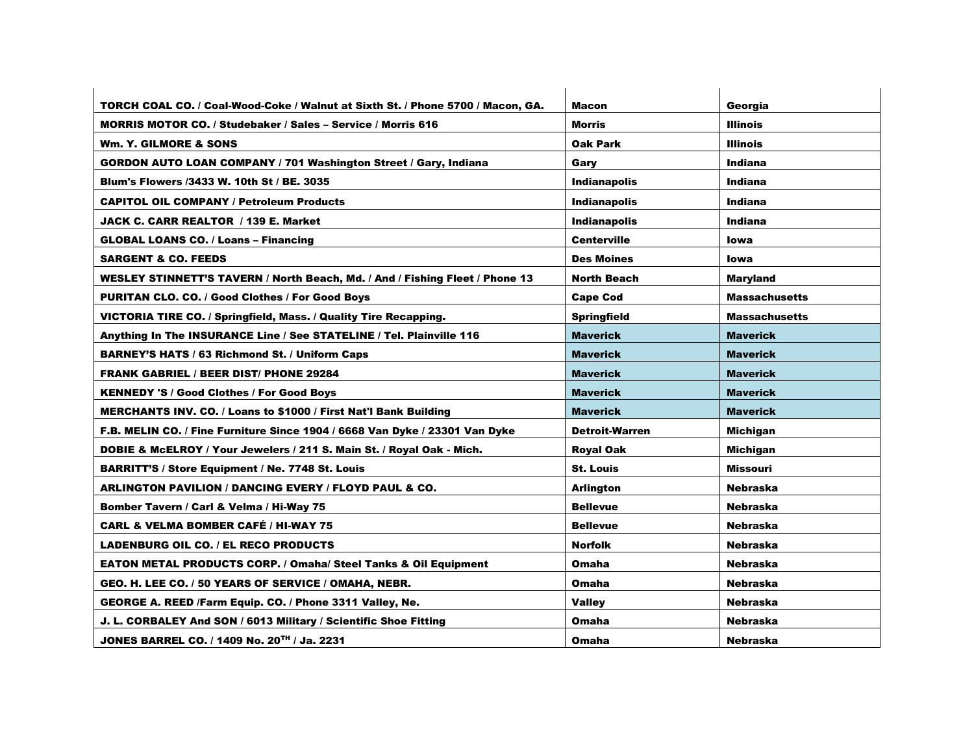| TORCH COAL CO. / Coal-Wood-Coke / Walnut at Sixth St. / Phone 5700 / Macon, GA. | <b>Macon</b>          | Georgia              |
|---------------------------------------------------------------------------------|-----------------------|----------------------|
| <b>MORRIS MOTOR CO. / Studebaker / Sales - Service / Morris 616</b>             | <b>Morris</b>         | <b>Illinois</b>      |
| Wm. Y. GILMORE & SONS                                                           | Oak Park              | <b>Illinois</b>      |
| <b>GORDON AUTO LOAN COMPANY / 701 Washington Street / Gary, Indiana</b>         | Garv                  | Indiana              |
| <b>Blum's Flowers /3433 W. 10th St / BE. 3035</b>                               | <b>Indianapolis</b>   | Indiana              |
| <b>CAPITOL OIL COMPANY / Petroleum Products</b>                                 | <b>Indianapolis</b>   | <b>Indiana</b>       |
| JACK C. CARR REALTOR / 139 E. Market                                            | <b>Indianapolis</b>   | <b>Indiana</b>       |
| <b>GLOBAL LOANS CO. / Loans - Financing</b>                                     | <b>Centerville</b>    | <b>lowa</b>          |
| <b>SARGENT &amp; CO. FEEDS</b>                                                  | <b>Des Moines</b>     | <b>lowa</b>          |
| WESLEY STINNETT'S TAVERN / North Beach, Md. / And / Fishing Fleet / Phone 13    | <b>North Beach</b>    | <b>Maryland</b>      |
| <b>PURITAN CLO. CO. / Good Clothes / For Good Boys</b>                          | <b>Cape Cod</b>       | <b>Massachusetts</b> |
| VICTORIA TIRE CO. / Springfield, Mass. / Quality Tire Recapping.                | <b>Springfield</b>    | <b>Massachusetts</b> |
| Anything In The INSURANCE Line / See STATELINE / Tel. Plainville 116            | <b>Maverick</b>       | <b>Maverick</b>      |
| <b>BARNEY'S HATS / 63 Richmond St. / Uniform Caps</b>                           | <b>Maverick</b>       | <b>Maverick</b>      |
| <b>FRANK GABRIEL / BEER DIST/ PHONE 29284</b>                                   | <b>Maverick</b>       | <b>Maverick</b>      |
| <b>KENNEDY 'S / Good Clothes / For Good Boys</b>                                | <b>Maverick</b>       | <b>Maverick</b>      |
| MERCHANTS INV. CO. / Loans to \$1000 / First Nat'l Bank Building                | <b>Maverick</b>       | <b>Maverick</b>      |
| F.B. MELIN CO. / Fine Furniture Since 1904 / 6668 Van Dyke / 23301 Van Dyke     | <b>Detroit-Warren</b> | Michigan             |
| DOBIE & McELROY / Your Jewelers / 211 S. Main St. / Royal Oak - Mich.           | Royal Oak             | Michigan             |
| <b>BARRITT'S / Store Equipment / Ne. 7748 St. Louis</b>                         | <b>St. Louis</b>      | <b>Missouri</b>      |
| ARLINGTON PAVILION / DANCING EVERY / FLOYD PAUL & CO.                           | <b>Arlington</b>      | <b>Nebraska</b>      |
| Bomber Tavern / Carl & Velma / Hi-Way 75                                        | <b>Bellevue</b>       | <b>Nebraska</b>      |
| <b>CARL &amp; VELMA BOMBER CAFÉ / HI-WAY 75</b>                                 | <b>Bellevue</b>       | <b>Nebraska</b>      |
| <b>LADENBURG OIL CO. / EL RECO PRODUCTS</b>                                     | <b>Norfolk</b>        | <b>Nebraska</b>      |
| <b>EATON METAL PRODUCTS CORP. / Omaha/ Steel Tanks &amp; Oil Equipment</b>      | Omaha                 | <b>Nebraska</b>      |
| GEO. H. LEE CO. / 50 YEARS OF SERVICE / OMAHA, NEBR.                            | Omaha                 | <b>Nebraska</b>      |
| GEORGE A. REED /Farm Equip. CO. / Phone 3311 Valley, Ne.                        | <b>Valley</b>         | <b>Nebraska</b>      |
| J. L. CORBALEY And SON / 6013 Military / Scientific Shoe Fitting                | Omaha                 | <b>Nebraska</b>      |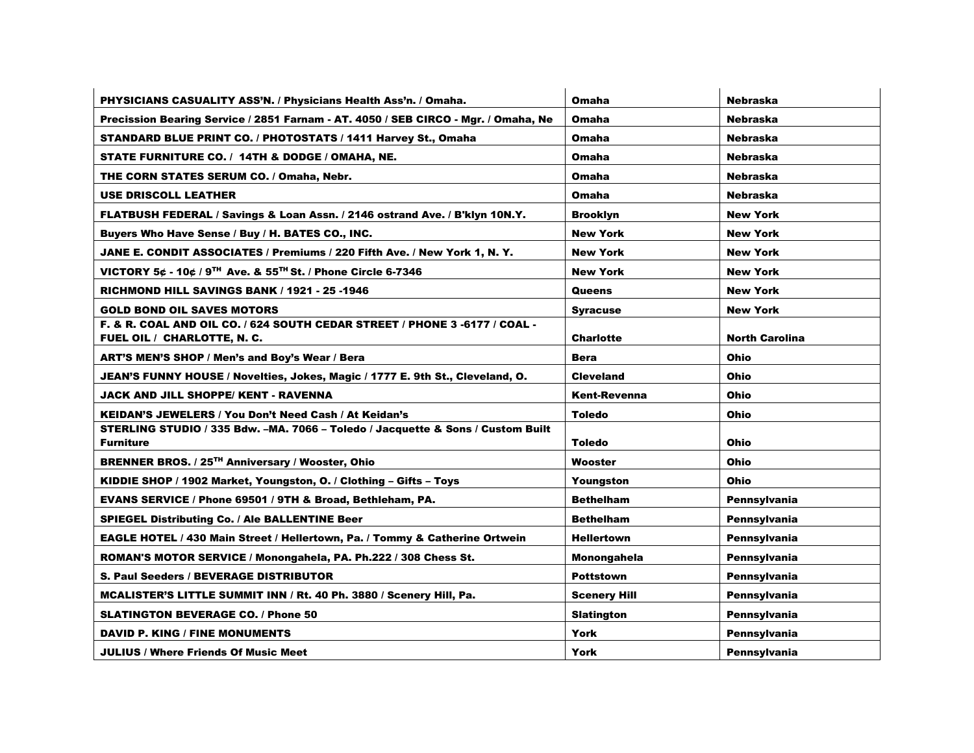| PHYSICIANS CASUALITY ASS'N. / Physicians Health Ass'n. / Omaha.                    | <b>Omaha</b>        | <b>Nebraska</b>       |
|------------------------------------------------------------------------------------|---------------------|-----------------------|
| Precission Bearing Service / 2851 Farnam - AT. 4050 / SEB CIRCO - Mgr. / Omaha, Ne | <b>Omaha</b>        | <b>Nebraska</b>       |
| <b>STANDARD BLUE PRINT CO. / PHOTOSTATS / 1411 Harvey St., Omaha</b>               | Omaha               | Nebraska              |
| STATE FURNITURE CO. / 14TH & DODGE / OMAHA, NE.                                    | <b>Omaha</b>        | <b>Nebraska</b>       |
| THE CORN STATES SERUM CO. / Omaha, Nebr.                                           | Omaha               | <b>Nebraska</b>       |
| <b>USE DRISCOLL LEATHER</b>                                                        | <b>Omaha</b>        | <b>Nebraska</b>       |
| FLATBUSH FEDERAL / Savings & Loan Assn. / 2146 ostrand Ave. / B'klyn 10N.Y.        | <b>Brooklyn</b>     | <b>New York</b>       |
| Buyers Who Have Sense / Buy / H. BATES CO., INC.                                   | <b>New York</b>     | <b>New York</b>       |
| JANE E. CONDIT ASSOCIATES / Premiums / 220 Fifth Ave. / New York 1, N. Y.          | <b>New York</b>     | <b>New York</b>       |
| VICTORY 5¢ - 10¢ / 9TH Ave. & 55TH St. / Phone Circle 6-7346                       | <b>New York</b>     | <b>New York</b>       |
| <b>RICHMOND HILL SAVINGS BANK / 1921 - 25 -1946</b>                                | Queens              | <b>New York</b>       |
| <b>GOLD BOND OIL SAVES MOTORS</b>                                                  | <b>Syracuse</b>     | <b>New York</b>       |
| F. & R. COAL AND OIL CO. / 624 SOUTH CEDAR STREET / PHONE 3 -6177 / COAL -         |                     |                       |
| FUEL OIL / CHARLOTTE, N. C.                                                        | <b>Charlotte</b>    | <b>North Carolina</b> |
| ART'S MEN'S SHOP / Men's and Boy's Wear / Bera                                     | <b>Bera</b>         | Ohio                  |
| JEAN'S FUNNY HOUSE / Novelties, Jokes, Magic / 1777 E. 9th St., Cleveland, O.      | <b>Cleveland</b>    | Ohio                  |
| JACK AND JILL SHOPPE/ KENT - RAVENNA                                               | <b>Kent-Revenna</b> | Ohio                  |
| KEIDAN'S JEWELERS / You Don't Need Cash / At Keidan's                              | <b>Toledo</b>       | <b>Ohio</b>           |
| STERLING STUDIO / 335 Bdw. -MA. 7066 - Toledo / Jacquette & Sons / Custom Built    |                     |                       |
| <b>Furniture</b>                                                                   | <b>Toledo</b>       | Ohio                  |
| <b>BRENNER BROS. / 25TH Anniversary / Wooster, Ohio</b>                            | Wooster             | Ohio                  |
| KIDDIE SHOP / 1902 Market, Youngston, O. / Clothing - Gifts - Toys                 | Youngston           | <b>Ohio</b>           |
| EVANS SERVICE / Phone 69501 / 9TH & Broad, Bethleham, PA.                          | <b>Bethelham</b>    | Pennsylvania          |
| <b>SPIEGEL Distributing Co. / Ale BALLENTINE Beer</b>                              | <b>Bethelham</b>    | Pennsylvania          |
| EAGLE HOTEL / 430 Main Street / Hellertown, Pa. / Tommy & Catherine Ortwein        | <b>Hellertown</b>   | Pennsylvania          |
| ROMAN'S MOTOR SERVICE / Monongahela, PA. Ph.222 / 308 Chess St.                    | Monongahela         | Pennsylvania          |
| <b>S. Paul Seeders / BEVERAGE DISTRIBUTOR</b>                                      | <b>Pottstown</b>    | Pennsylvania          |
| MCALISTER'S LITTLE SUMMIT INN / Rt. 40 Ph. 3880 / Scenery Hill, Pa.                | <b>Scenery Hill</b> | <b>Pennsylvania</b>   |
| <b>SLATINGTON BEVERAGE CO. / Phone 50</b>                                          | <b>Slatington</b>   | Pennsylvania          |
| <b>DAVID P. KING / FINE MONUMENTS</b>                                              | <b>York</b>         | Pennsylvania          |
| <b>JULIUS / Where Friends Of Music Meet</b>                                        | York                | Pennsylvania          |